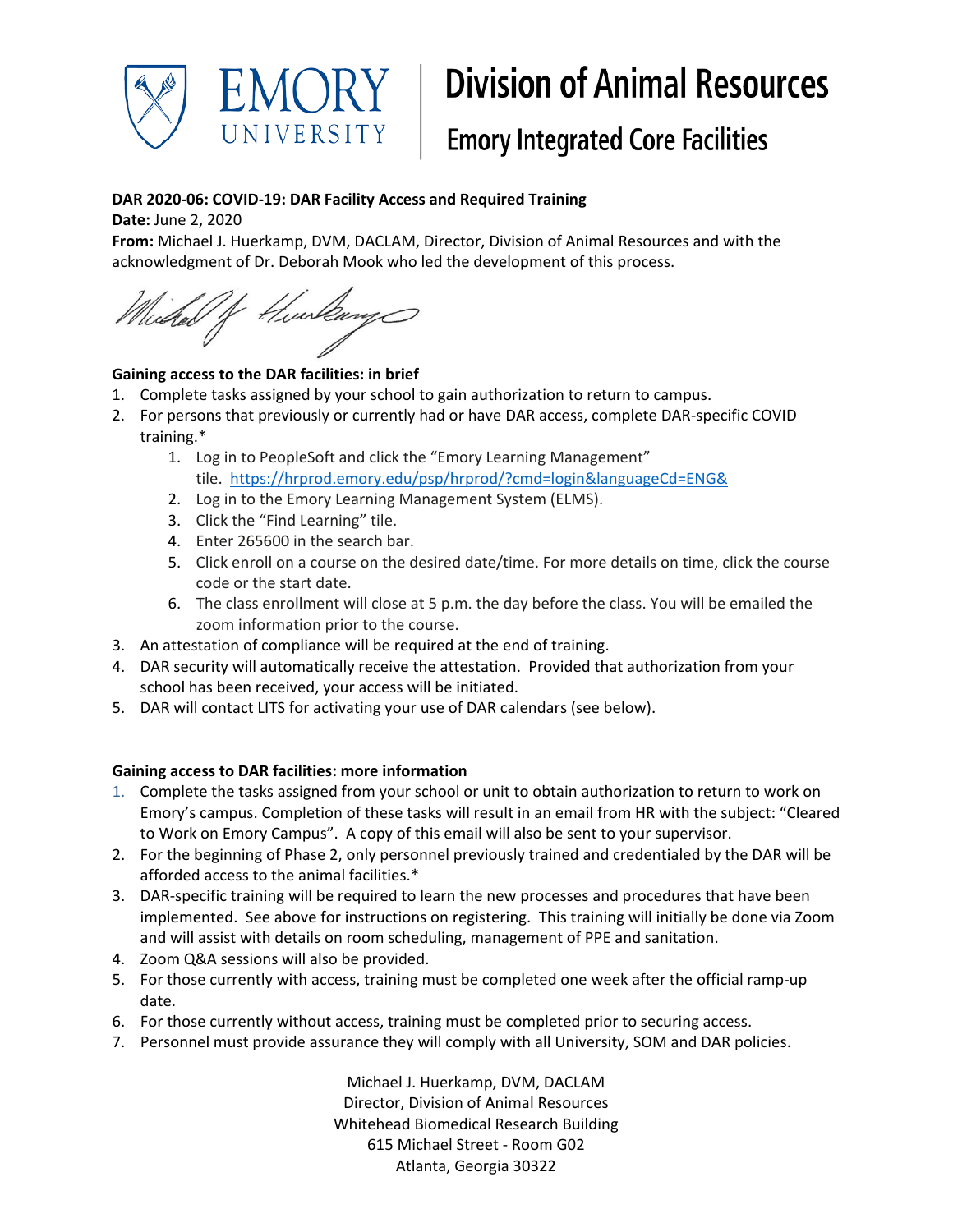

# **Division of Animal Resources**

## **Emory Integrated Core Facilities**

#### **DAR 2020-06: COVID-19: DAR Facility Access and Required Training**

**Date:** June 2, 2020

**From:** Michael J. Huerkamp, DVM, DACLAM, Director, Division of Animal Resources and with the acknowledgment of Dr. Deborah Mook who led the development of this process.

/f Hurlange cedal

### **Gaining access to the DAR facilities: in brief**

- 1. Complete tasks assigned by your school to gain authorization to return to campus.
- 2. For persons that previously or currently had or have DAR access, complete DAR-specific COVID training.\*
	- 1. Log in to PeopleSoft and click the "Emory Learning Management" tile. <https://hrprod.emory.edu/psp/hrprod/?cmd=login&languageCd=ENG&>
	- 2. Log in to the Emory Learning Management System (ELMS).
	- 3. Click the "Find Learning" tile.
	- 4. Enter 265600 in the search bar.
	- 5. Click enroll on a course on the desired date/time. For more details on time, click the course code or the start date.
	- 6. The class enrollment will close at 5 p.m. the day before the class. You will be emailed the zoom information prior to the course.
- 3. An attestation of compliance will be required at the end of training.
- 4. DAR security will automatically receive the attestation. Provided that authorization from your school has been received, your access will be initiated.
- 5. DAR will contact LITS for activating your use of DAR calendars (see below).

#### **Gaining access to DAR facilities: more information**

- 1. Complete the tasks assigned from your school or unit to obtain authorization to return to work on Emory's campus. Completion of these tasks will result in an email from HR with the subject: "Cleared to Work on Emory Campus". A copy of this email will also be sent to your supervisor.
- 2. For the beginning of Phase 2, only personnel previously trained and credentialed by the DAR will be afforded access to the animal facilities.\*
- 3. DAR-specific training will be required to learn the new processes and procedures that have been implemented. See above for instructions on registering. This training will initially be done via Zoom and will assist with details on room scheduling, management of PPE and sanitation.
- 4. Zoom Q&A sessions will also be provided.
- 5. For those currently with access, training must be completed one week after the official ramp-up date.
- 6. For those currently without access, training must be completed prior to securing access.
- 7. Personnel must provide assurance they will comply with all University, SOM and DAR policies.

Michael J. Huerkamp, DVM, DACLAM Director, Division of Animal Resources Whitehead Biomedical Research Building 615 Michael Street - Room G02 Atlanta, Georgia 30322